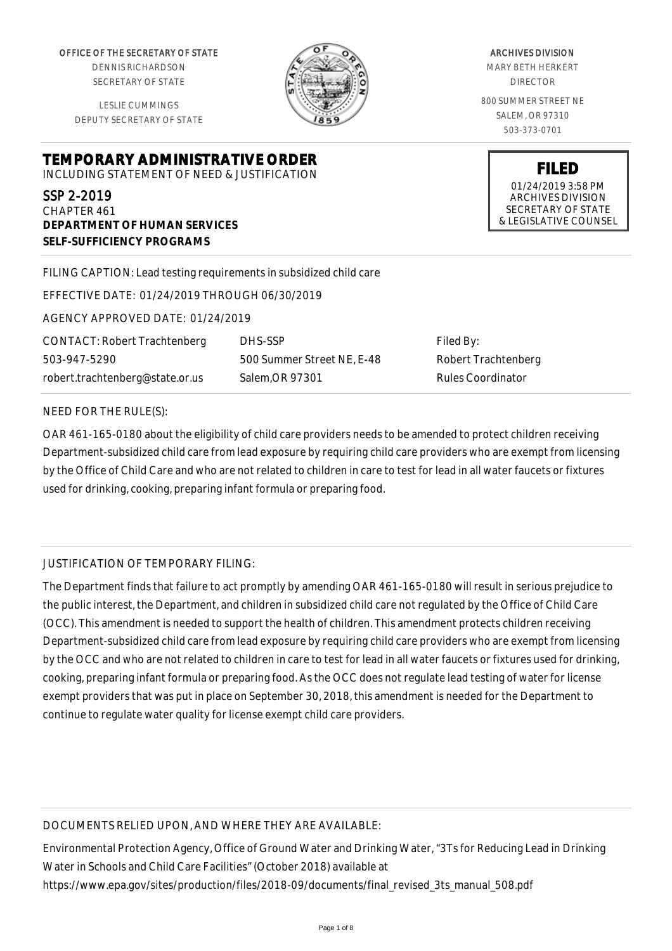OFFICE OF THE SECRETARY OF STATE

DENNIS RICHARDSON SECRETARY OF STATE

LESLIE CUMMINGS DEPUTY SECRETARY OF STATE

### **TEMPORARY ADMINISTRATIVE ORDER** INCLUDING STATEMENT OF NEED & JUSTIFICATION

SSP 2-2019

CHAPTER 461 **DEPARTMENT OF HUMAN SERVICES SELF-SUFFICIENCY PROGRAMS**

FILING CAPTION: Lead testing requirements in subsidized child care

EFFECTIVE DATE: 01/24/2019 THROUGH 06/30/2019

AGENCY APPROVED DATE: 01/24/2019

CONTACT: Robert Trachtenberg 503-947-5290 robert.trachtenberg@state.or.us

DHS-SSP 500 Summer Street NE, E-48 Salem,OR 97301

Filed By: Robert Trachtenberg Rules Coordinator

#### NEED FOR THE RULE(S):

OAR 461-165-0180 about the eligibility of child care providers needs to be amended to protect children receiving Department-subsidized child care from lead exposure by requiring child care providers who are exempt from licensing by the Office of Child Care and who are not related to children in care to test for lead in all water faucets or fixtures used for drinking, cooking, preparing infant formula or preparing food.

# JUSTIFICATION OF TEMPORARY FILING:

The Department finds that failure to act promptly by amending OAR 461-165-0180 will result in serious prejudice to the public interest, the Department, and children in subsidized child care not regulated by the Office of Child Care (OCC). This amendment is needed to support the health of children. This amendment protects children receiving Department-subsidized child care from lead exposure by requiring child care providers who are exempt from licensing by the OCC and who are not related to children in care to test for lead in all water faucets or fixtures used for drinking, cooking, preparing infant formula or preparing food. As the OCC does not regulate lead testing of water for license exempt providers that was put in place on September 30, 2018, this amendment is needed for the Department to continue to regulate water quality for license exempt child care providers.

### DOCUMENTS RELIED UPON, AND WHERE THEY ARE AVAILABLE:

Environmental Protection Agency, Office of Ground Water and Drinking Water, "3Ts for Reducing Lead in Drinking Water in Schools and Child Care Facilities" (October 2018) available at https://www.epa.gov/sites/production/files/2018-09/documents/final\_revised\_3ts\_manual\_508.pdf



#### ARCHIVES DIVISION MARY BETH HERKERT DIRECTOR

800 SUMMER STREET NE SALEM, OR 97310 503-373-0701

> **FILED** 01/24/2019 3:58 PM ARCHIVES DIVISION SECRETARY OF STATE & LEGISLATIVE COUNSEL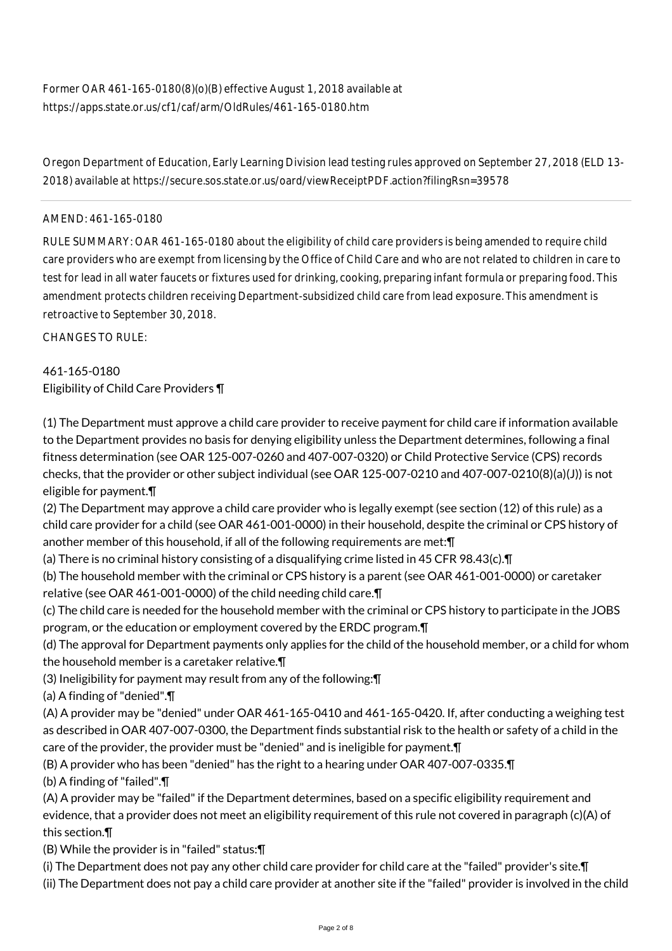Oregon Department of Education, Early Learning Division lead testing rules approved on September 27, 2018 (ELD 13- 2018) available at https://secure.sos.state.or.us/oard/viewReceiptPDF.action?filingRsn=39578

## AMEND: 461-165-0180

RULE SUMMARY: OAR 461-165-0180 about the eligibility of child care providers is being amended to require child care providers who are exempt from licensing by the Office of Child Care and who are not related to children in care to test for lead in all water faucets or fixtures used for drinking, cooking, preparing infant formula or preparing food. This amendment protects children receiving Department-subsidized child care from lead exposure. This amendment is retroactive to September 30, 2018.

CHANGES TO RULE:

# 461-165-0180 Eligibility of Child Care Providers ¶

(1) The Department must approve a child care provider to receive payment for child care if information available to the Department provides no basis for denying eligibility unless the Department determines, following a final fitness determination (see OAR 125-007-0260 and 407-007-0320) or Child Protective Service (CPS) records checks, that the provider or other subject individual (see OAR 125-007-0210 and 407-007-0210(8)(a)(J)) is not eligible for payment.¶

(2) The Department may approve a child care provider who is legally exempt (see section (12) of this rule) as a child care provider for a child (see OAR 461-001-0000) in their household, despite the criminal or CPS history of another member of this household, if all of the following requirements are met:¶

(a) There is no criminal history consisting of a disqualifying crime listed in 45 CFR 98.43(c).¶

(b) The household member with the criminal or CPS history is a parent (see OAR 461-001-0000) or caretaker relative (see OAR 461-001-0000) of the child needing child care.¶

(c) The child care is needed for the household member with the criminal or CPS history to participate in the JOBS program, or the education or employment covered by the ERDC program.¶

(d) The approval for Department payments only applies for the child of the household member, or a child for whom the household member is a caretaker relative.¶

(3) Ineligibility for payment may result from any of the following:¶

(a) A finding of "denied".¶

(A) A provider may be "denied" under OAR 461-165-0410 and 461-165-0420. If, after conducting a weighing test as described in OAR 407-007-0300, the Department finds substantial risk to the health or safety of a child in the care of the provider, the provider must be "denied" and is ineligible for payment.¶

(B) A provider who has been "denied" has the right to a hearing under OAR 407-007-0335.¶

(b) A finding of "failed".¶

(A) A provider may be "failed" if the Department determines, based on a specific eligibility requirement and evidence, that a provider does not meet an eligibility requirement of this rule not covered in paragraph (c)(A) of this section.¶

(B) While the provider is in "failed" status:¶

(i) The Department does not pay any other child care provider for child care at the "failed" provider's site.¶

(ii) The Department does not pay a child care provider at another site if the "failed" provider is involved in the child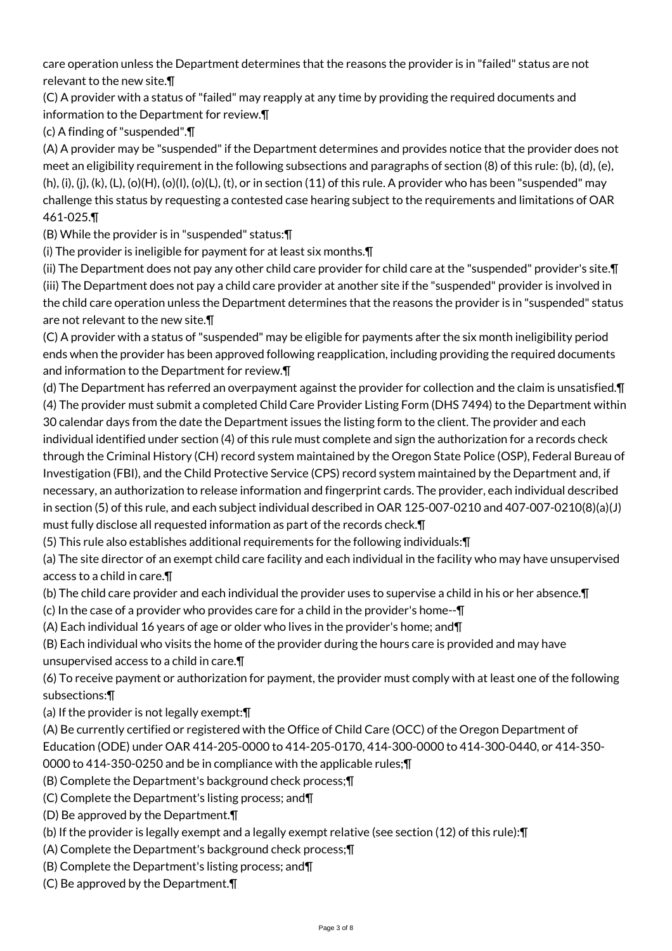care operation unless the Department determines that the reasons the provider is in "failed" status are not relevant to the new site.¶

(C) A provider with a status of "failed" may reapply at any time by providing the required documents and information to the Department for review.¶

(c) A finding of "suspended".¶

(A) A provider may be "suspended" if the Department determines and provides notice that the provider does not meet an eligibility requirement in the following subsections and paragraphs of section (8) of this rule: (b), (d), (e),  $(h), (i), (i), (k), (L), (o)(H), (o)(L), (t), (o)$  and section  $(11)$  of this rule. A provider who has been "suspended" may challenge this status by requesting a contested case hearing subject to the requirements and limitations of OAR 461-025.¶

(B) While the provider is in "suspended" status:¶

(i) The provider is ineligible for payment for at least six months.¶

(ii) The Department does not pay any other child care provider for child care at the "suspended" provider's site.¶ (iii) The Department does not pay a child care provider at another site if the "suspended" provider is involved in the child care operation unless the Department determines that the reasons the provider is in "suspended" status are not relevant to the new site.¶

(C) A provider with a status of "suspended" may be eligible for payments after the six month ineligibility period ends when the provider has been approved following reapplication, including providing the required documents and information to the Department for review.¶

(d) The Department has referred an overpayment against the provider for collection and the claim is unsatisfied.¶ (4) The provider must submit a completed Child Care Provider Listing Form (DHS 7494) to the Department within 30 calendar days from the date the Department issues the listing form to the client. The provider and each individual identified under section (4) of this rule must complete and sign the authorization for a records check through the Criminal History (CH) record system maintained by the Oregon State Police (OSP), Federal Bureau of Investigation (FBI), and the Child Protective Service (CPS) record system maintained by the Department and, if necessary, an authorization to release information and fingerprint cards. The provider, each individual described in section (5) of this rule, and each subject individual described in OAR 125-007-0210 and 407-007-0210(8)(a)(J) must fully disclose all requested information as part of the records check.¶

(5) This rule also establishes additional requirements for the following individuals:¶

(a) The site director of an exempt child care facility and each individual in the facility who may have unsupervised access to a child in care.¶

(b) The child care provider and each individual the provider uses to supervise a child in his or her absence.¶

(c) In the case of a provider who provides care for a child in the provider's home--¶

(A) Each individual 16 years of age or older who lives in the provider's home; and¶

(B) Each individual who visits the home of the provider during the hours care is provided and may have unsupervised access to a child in care.¶

(6) To receive payment or authorization for payment, the provider must comply with at least one of the following subsections:¶

(a) If the provider is not legally exempt:¶

(A) Be currently certified or registered with the Office of Child Care (OCC) of the Oregon Department of Education (ODE) under OAR 414-205-0000 to 414-205-0170, 414-300-0000 to 414-300-0440, or 414-350- 0000 to 414-350-0250 and be in compliance with the applicable rules;¶

(B) Complete the Department's background check process;¶

(C) Complete the Department's listing process; and¶

(D) Be approved by the Department.¶

(b) If the provider is legally exempt and a legally exempt relative (see section (12) of this rule):¶

(A) Complete the Department's background check process;¶

(B) Complete the Department's listing process; and¶

(C) Be approved by the Department.¶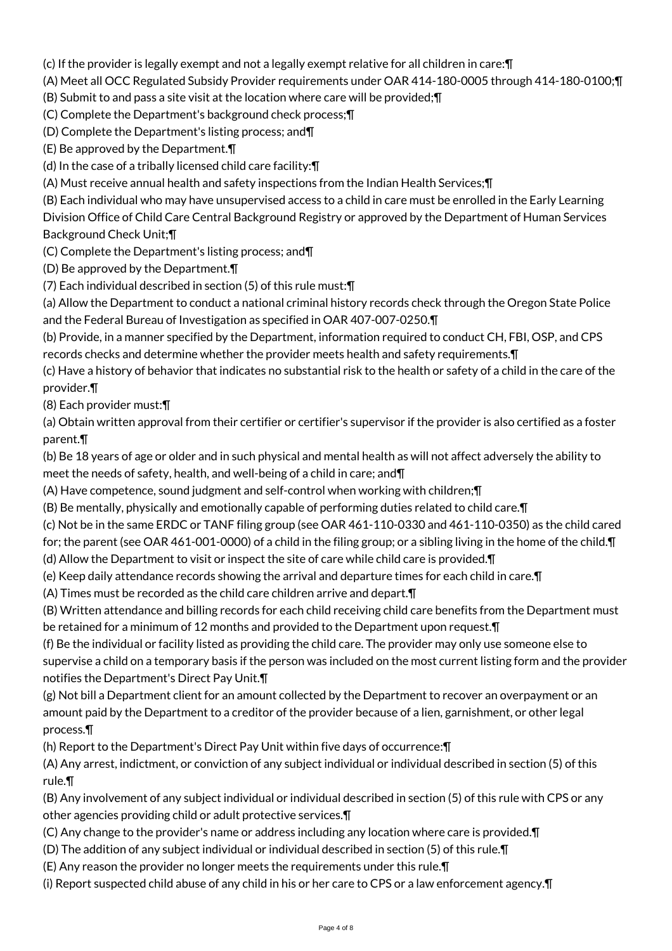(c) If the provider is legally exempt and not a legally exempt relative for all children in care:¶

(A) Meet all OCC Regulated Subsidy Provider requirements under OAR 414-180-0005 through 414-180-0100;¶

(B) Submit to and pass a site visit at the location where care will be provided;¶

(C) Complete the Department's background check process;¶

(D) Complete the Department's listing process; and¶

(E) Be approved by the Department.¶

(d) In the case of a tribally licensed child care facility:¶

(A) Must receive annual health and safety inspections from the Indian Health Services;¶

(B) Each individual who may have unsupervised access to a child in care must be enrolled in the Early Learning

Division Office of Child Care Central Background Registry or approved by the Department of Human Services Background Check Unit;¶

(C) Complete the Department's listing process; and¶

(D) Be approved by the Department.¶

(7) Each individual described in section (5) of this rule must:¶

(a) Allow the Department to conduct a national criminal history records check through the Oregon State Police and the Federal Bureau of Investigation as specified in OAR 407-007-0250.¶

(b) Provide, in a manner specified by the Department, information required to conduct CH, FBI, OSP, and CPS records checks and determine whether the provider meets health and safety requirements.¶

(c) Have a history of behavior that indicates no substantial risk to the health or safety of a child in the care of the provider.¶

(8) Each provider must:¶

(a) Obtain written approval from their certifier or certifier's supervisor if the provider is also certified as a foster parent.¶

(b) Be 18 years of age or older and in such physical and mental health as will not affect adversely the ability to meet the needs of safety, health, and well-being of a child in care; and¶

(A) Have competence, sound judgment and self-control when working with children;¶

(B) Be mentally, physically and emotionally capable of performing duties related to child care.¶

(c) Not be in the same ERDC or TANF filing group (see OAR 461-110-0330 and 461-110-0350) as the child cared

for; the parent (see OAR 461-001-0000) of a child in the filing group; or a sibling living in the home of the child. T (d) Allow the Department to visit or inspect the site of care while child care is provided.¶

(e) Keep daily attendance records showing the arrival and departure times for each child in care.¶

(A) Times must be recorded as the child care children arrive and depart.¶

(B) Written attendance and billing records for each child receiving child care benefits from the Department must be retained for a minimum of 12 months and provided to the Department upon request.¶

(f) Be the individual or facility listed as providing the child care. The provider may only use someone else to supervise a child on a temporary basis if the person was included on the most current listing form and the provider notifies the Department's Direct Pay Unit.¶

(g) Not bill a Department client for an amount collected by the Department to recover an overpayment or an amount paid by the Department to a creditor of the provider because of a lien, garnishment, or other legal process.¶

(h) Report to the Department's Direct Pay Unit within five days of occurrence:¶

(A) Any arrest, indictment, or conviction of any subject individual or individual described in section (5) of this rule.¶

(B) Any involvement of any subject individual or individual described in section (5) of this rule with CPS or any other agencies providing child or adult protective services.¶

- (C) Any change to the provider's name or address including any location where care is provided.¶
- (D) The addition of any subject individual or individual described in section (5) of this rule.¶
- (E) Any reason the provider no longer meets the requirements under this rule.¶
- (i) Report suspected child abuse of any child in his or her care to CPS or a law enforcement agency.¶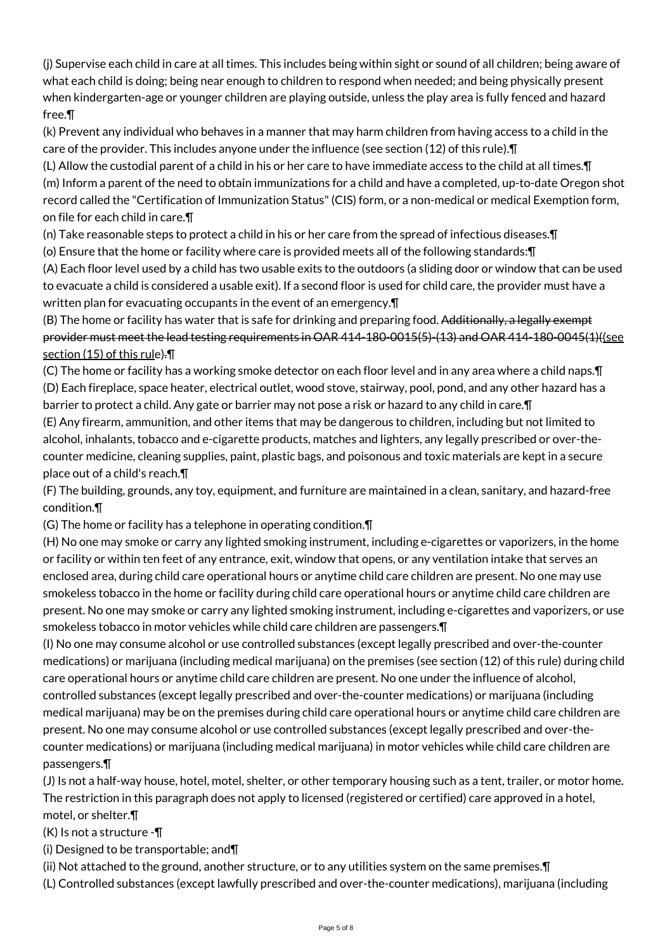(j) Supervise each child in care at all times. This includes being within sight or sound of all children; being aware of what each child is doing; being near enough to children to respond when needed; and being physically present when kindergarten-age or younger children are playing outside, unless the play area is fully fenced and hazard free.¶

(k) Prevent any individual who behaves in a manner that may harm children from having access to a child in the care of the provider. This includes anyone under the influence (see section (12) of this rule).¶

(L) Allow the custodial parent of a child in his or her care to have immediate access to the child at all times.¶ (m) Inform a parent of the need to obtain immunizations for a child and have a completed, up-to-date Oregon shot record called the "Certification of Immunization Status" (CIS) form, or a non-medical or medical Exemption form, on file for each child in care.¶

(n) Take reasonable steps to protect a child in his or her care from the spread of infectious diseases.¶

(o) Ensure that the home or facility where care is provided meets all of the following standards:¶

(A) Each floor level used by a child has two usable exits to the outdoors (a sliding door or window that can be used to evacuate a child is considered a usable exit). If a second floor is used for child care, the provider must have a written plan for evacuating occupants in the event of an emergency.¶

(B) The home or facility has water that is safe for drinking and preparing food. Additionally, a legally exempt provider must meet the lead testing requirements in OAR 414-180-0015(5)-(13) and OAR 414-180-0045(1)((see section (15) of this rule).¶

(C) The home or facility has a working smoke detector on each floor level and in any area where a child naps.¶ (D) Each fireplace, space heater, electrical outlet, wood stove, stairway, pool, pond, and any other hazard has a barrier to protect a child. Any gate or barrier may not pose a risk or hazard to any child in care.¶

(E) Any firearm, ammunition, and other items that may be dangerous to children, including but not limited to alcohol, inhalants, tobacco and e-cigarette products, matches and lighters, any legally prescribed or over-thecounter medicine, cleaning supplies, paint, plastic bags, and poisonous and toxic materials are kept in a secure place out of a child's reach.¶

(F) The building, grounds, any toy, equipment, and furniture are maintained in a clean, sanitary, and hazard-free condition.¶

(G) The home or facility has a telephone in operating condition.¶

(H) No one may smoke or carry any lighted smoking instrument, including e-cigarettes or vaporizers, in the home or facility or within ten feet of any entrance, exit, window that opens, or any ventilation intake that serves an enclosed area, during child care operational hours or anytime child care children are present. No one may use smokeless tobacco in the home or facility during child care operational hours or anytime child care children are present. No one may smoke or carry any lighted smoking instrument, including e-cigarettes and vaporizers, or use smokeless tobacco in motor vehicles while child care children are passengers.¶

(I) No one may consume alcohol or use controlled substances (except legally prescribed and over-the-counter medications) or marijuana (including medical marijuana) on the premises (see section (12) of this rule) during child care operational hours or anytime child care children are present. No one under the influence of alcohol, controlled substances (except legally prescribed and over-the-counter medications) or marijuana (including medical marijuana) may be on the premises during child care operational hours or anytime child care children are present. No one may consume alcohol or use controlled substances (except legally prescribed and over-thecounter medications) or marijuana (including medical marijuana) in motor vehicles while child care children are passengers.¶

(J) Is not a half-way house, hotel, motel, shelter, or other temporary housing such as a tent, trailer, or motor home. The restriction in this paragraph does not apply to licensed (registered or certified) care approved in a hotel, motel, or shelter.¶

 $(K)$  is not a structure - $\P$ 

(i) Designed to be transportable; and¶

(ii) Not attached to the ground, another structure, or to any utilities system on the same premises.¶

(L) Controlled substances (except lawfully prescribed and over-the-counter medications), marijuana (including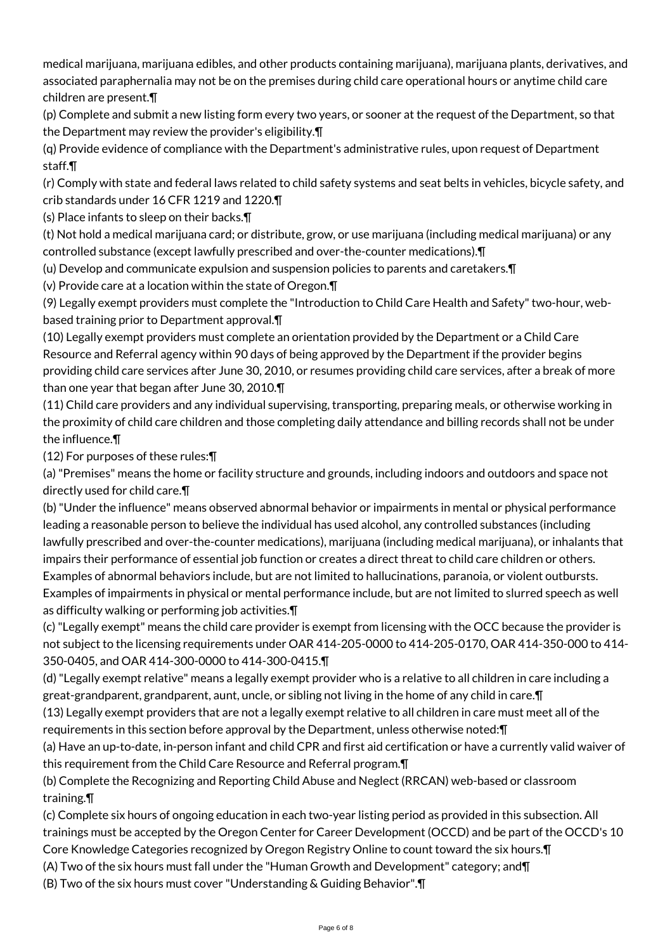medical marijuana, marijuana edibles, and other products containing marijuana), marijuana plants, derivatives, and associated paraphernalia may not be on the premises during child care operational hours or anytime child care children are present.¶

(p) Complete and submit a new listing form every two years, or sooner at the request of the Department, so that the Department may review the provider's eligibility.¶

(q) Provide evidence of compliance with the Department's administrative rules, upon request of Department staff.¶

(r) Comply with state and federal laws related to child safety systems and seat belts in vehicles, bicycle safety, and crib standards under 16 CFR 1219 and 1220.¶

(s) Place infants to sleep on their backs.¶

(t) Not hold a medical marijuana card; or distribute, grow, or use marijuana (including medical marijuana) or any controlled substance (except lawfully prescribed and over-the-counter medications).¶

(u) Develop and communicate expulsion and suspension policies to parents and caretakers.¶

(v) Provide care at a location within the state of Oregon.¶

(9) Legally exempt providers must complete the "Introduction to Child Care Health and Safety" two-hour, webbased training prior to Department approval.¶

(10) Legally exempt providers must complete an orientation provided by the Department or a Child Care Resource and Referral agency within 90 days of being approved by the Department if the provider begins providing child care services after June 30, 2010, or resumes providing child care services, after a break of more than one year that began after June 30, 2010.¶

(11) Child care providers and any individual supervising, transporting, preparing meals, or otherwise working in the proximity of child care children and those completing daily attendance and billing records shall not be under the influence.¶

(12) For purposes of these rules:¶

(a) "Premises" means the home or facility structure and grounds, including indoors and outdoors and space not directly used for child care.¶

(b) "Under the influence" means observed abnormal behavior or impairments in mental or physical performance leading a reasonable person to believe the individual has used alcohol, any controlled substances (including lawfully prescribed and over-the-counter medications), marijuana (including medical marijuana), or inhalants that impairs their performance of essential job function or creates a direct threat to child care children or others. Examples of abnormal behaviors include, but are not limited to hallucinations, paranoia, or violent outbursts. Examples of impairments in physical or mental performance include, but are not limited to slurred speech as well as difficulty walking or performing job activities.¶

(c) "Legally exempt" means the child care provider is exempt from licensing with the OCC because the provider is not subject to the licensing requirements under OAR 414-205-0000 to 414-205-0170, OAR 414-350-000 to 414- 350-0405, and OAR 414-300-0000 to 414-300-0415.¶

(d) "Legally exempt relative" means a legally exempt provider who is a relative to all children in care including a great-grandparent, grandparent, aunt, uncle, or sibling not living in the home of any child in care.¶

(13) Legally exempt providers that are not a legally exempt relative to all children in care must meet all of the requirements in this section before approval by the Department, unless otherwise noted:¶

(a) Have an up-to-date, in-person infant and child CPR and first aid certification or have a currently valid waiver of this requirement from the Child Care Resource and Referral program.¶

(b) Complete the Recognizing and Reporting Child Abuse and Neglect (RRCAN) web-based or classroom training.¶

(c) Complete six hours of ongoing education in each two-year listing period as provided in this subsection. All trainings must be accepted by the Oregon Center for Career Development (OCCD) and be part of the OCCD's 10 Core Knowledge Categories recognized by Oregon Registry Online to count toward the six hours.¶

(A) Two of the six hours must fall under the "Human Growth and Development" category; and¶

(B) Two of the six hours must cover "Understanding & Guiding Behavior".¶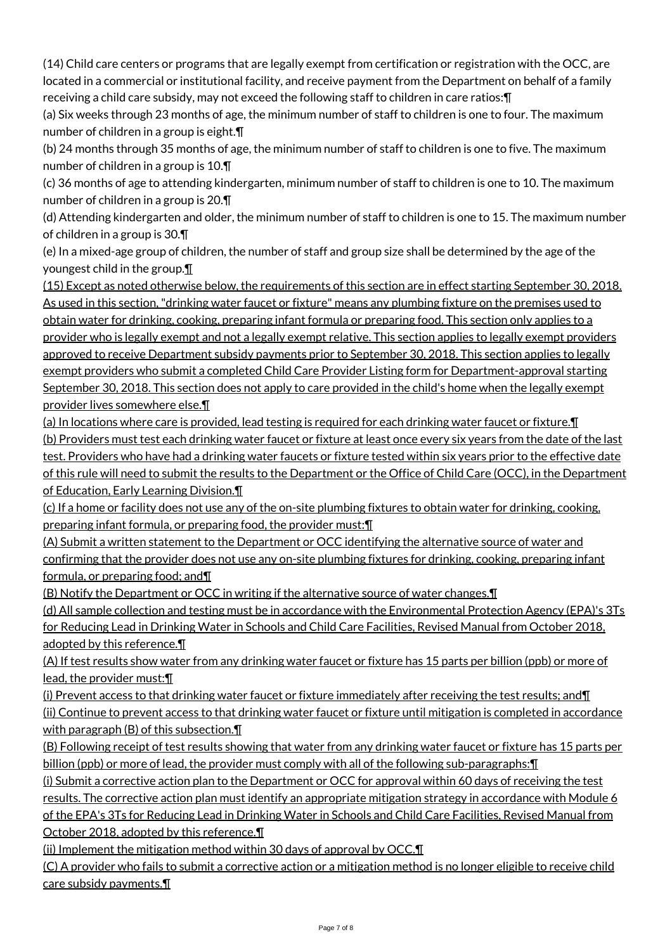(14) Child care centers or programs that are legally exempt from certification or registration with the OCC, are located in a commercial or institutional facility, and receive payment from the Department on behalf of a family receiving a child care subsidy, may not exceed the following staff to children in care ratios:¶

(a) Six weeks through 23 months of age, the minimum number of staff to children is one to four. The maximum number of children in a group is eight.¶

(b) 24 months through 35 months of age, the minimum number of staff to children is one to five. The maximum number of children in a group is 10.¶

(c) 36 months of age to attending kindergarten, minimum number of staff to children is one to 10. The maximum number of children in a group is 20.¶

(d) Attending kindergarten and older, the minimum number of staff to children is one to 15. The maximum number of children in a group is 30.¶

(e) In a mixed-age group of children, the number of staff and group size shall be determined by the age of the youngest child in the group.¶

(15) Except as noted otherwise below, the requirements of this section are in effect starting September 30, 2018. As used in this section, "drinking water faucet or fixture" means any plumbing fixture on the premises used to obtain water for drinking, cooking, preparing infant formula or preparing food. This section only applies to a provider who is legally exempt and not a legally exempt relative. This section applies to legally exempt providers approved to receive Department subsidy payments prior to September 30, 2018. This section applies to legally exempt providers who submit a completed Child Care Provider Listing form for Department-approval starting September 30, 2018. This section does not apply to care provided in the child's home when the legally exempt provider lives somewhere else.¶

(a) In locations where care is provided, lead testing is required for each drinking water faucet or fixture.¶ (b) Providers must test each drinking water faucet or fixture at least once every six years from the date of the last test. Providers who have had a drinking water faucets or fixture tested within six years prior to the effective date of this rule will need to submit the results to the Department or the Office of Child Care (OCC), in the Department of Education, Early Learning Division.¶

(c) If a home or facility does not use any of the on-site plumbing fixtures to obtain water for drinking, cooking, preparing infant formula, or preparing food, the provider must: \[

(A) Submit a written statement to the Department or OCC identifying the alternative source of water and confirming that the provider does not use any on-site plumbing fixtures for drinking, cooking, preparing infant formula, or preparing food; and¶

(B) Notify the Department or OCC in writing if the alternative source of water changes.¶

(d) All sample collection and testing must be in accordance with the Environmental Protection Agency (EPA)'s 3Ts for Reducing Lead in Drinking Water in Schools and Child Care Facilities, Revised Manual from October 2018, adopted by this reference.¶

(A) If test results show water from any drinking water faucet or fixture has 15 parts per billion (ppb) or more of lead, the provider must:¶

(i) Prevent access to that drinking water faucet or fixture immediately after receiving the test results; and¶ (ii) Continue to prevent access to that drinking water faucet or fixture until mitigation is completed in accordance with paragraph  $(B)$  of this subsection. $\P$ 

(B) Following receipt of test results showing that water from any drinking water faucet or fixture has 15 parts per billion (ppb) or more of lead, the provider must comply with all of the following sub-paragraphs:¶

(i) Submit a corrective action plan to the Department or OCC for approval within 60 days of receiving the test results. The corrective action plan must identify an appropriate mitigation strategy in accordance with Module 6 of the EPA's 3Ts for Reducing Lead in Drinking Water in Schools and Child Care Facilities, Revised Manual from October 2018, adopted by this reference.¶

(ii) Implement the mitigation method within 30 days of approval by OCC.¶

(C) A provider who fails to submit a corrective action or a mitigation method is no longer eligible to receive child care subsidy payments.¶